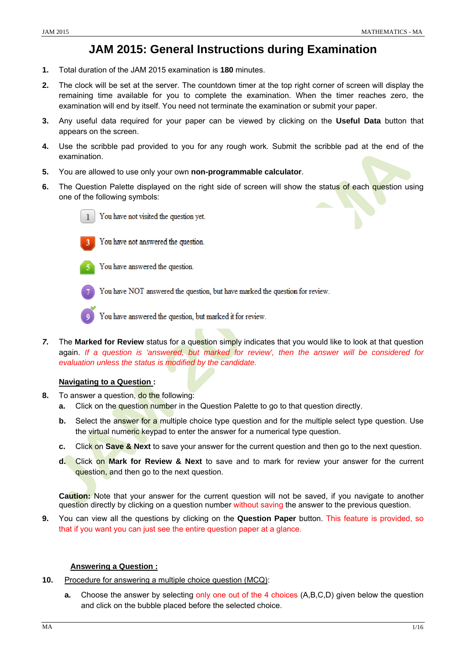## **JAM 2015: General Instructions during Examination**

- **1.** Total duration of the JAM 2015 examination is **180** minutes.
- **2.** The clock will be set at the server. The countdown timer at the top right corner of screen will display the remaining time available for you to complete the examination. When the timer reaches zero, the examination will end by itself. You need not terminate the examination or submit your paper.
- **3.** Any useful data required for your paper can be viewed by clicking on the **Useful Data** button that appears on the screen.
- **4.** Use the scribble pad provided to you for any rough work. Submit the scribble pad at the end of the examination.
- **5.** You are allowed to use only your own **non-programmable calculator**.
- **6.** The Question Palette displayed on the right side of screen will show the status of each question using one of the following symbols:



You have not visited the question yet.



You have not answered the question.

You have answered the question.

You have NOT answered the question, but have marked the question for review.



You have answered the question, but marked it for review.

*7.* The **Marked for Review** status for a question simply indicates that you would like to look at that question again. *If a question is 'answered, but marked for review', then the answer will be considered for evaluation unless the status is modified by the candidate.* 

## **Navigating to a Question :**

- **8.** To answer a question, do the following:
	- **a.** Click on the question number in the Question Palette to go to that question directly.
	- **b.** Select the answer for a multiple choice type question and for the multiple select type question. Use the virtual numeric keypad to enter the answer for a numerical type question.
	- **c.** Click on **Save & Next** to save your answer for the current question and then go to the next question.
	- **d.** Click on **Mark for Review & Next** to save and to mark for review your answer for the current question, and then go to the next question.

 **Caution:** Note that your answer for the current question will not be saved, if you navigate to another question directly by clicking on a question number without saving the answer to the previous question.

**9.** You can view all the questions by clicking on the **Question Paper** button. This feature is provided, so that if you want you can just see the entire question paper at a glance.

#### **Answering a Question :**

- **10.** Procedure for answering a multiple choice question (MCQ):
	- **a.** Choose the answer by selecting only one out of the 4 choices (A,B,C,D) given below the question and click on the bubble placed before the selected choice.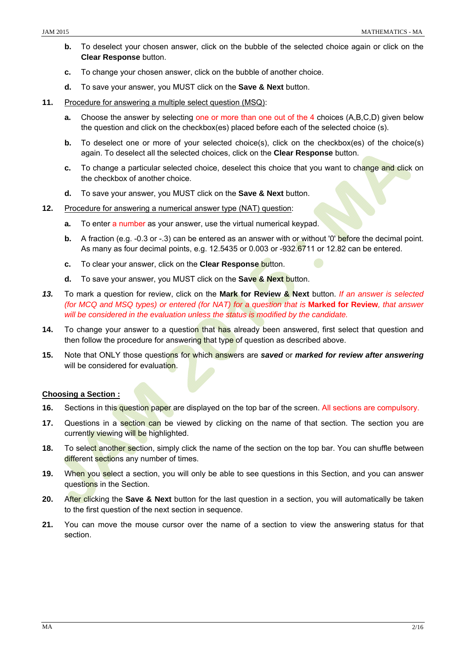- **b.** To deselect your chosen answer, click on the bubble of the selected choice again or click on the **Clear Response** button.
- **c.** To change your chosen answer, click on the bubble of another choice.
- **d.** To save your answer, you MUST click on the **Save & Next** button.
- **11.** Procedure for answering a multiple select question (MSQ):
	- **a.** Choose the answer by selecting one or more than one out of the 4 choices (A,B,C,D) given below the question and click on the checkbox(es) placed before each of the selected choice (s).
	- **b.** To deselect one or more of your selected choice(s), click on the checkbox(es) of the choice(s) again. To deselect all the selected choices, click on the **Clear Response** button.
	- **c.** To change a particular selected choice, deselect this choice that you want to change and click on the checkbox of another choice.
	- **d.** To save your answer, you MUST click on the **Save & Next** button.
- **12.** Procedure for answering a numerical answer type (NAT) question:
	- **a.** To enter a number as your answer, use the virtual numerical keypad.
	- **b.** A fraction (e.g. -0.3 or -.3) can be entered as an answer with or without '0' before the decimal point. As many as four decimal points, e.g. 12.5435 or 0.003 or -932.6711 or 12.82 can be entered.
	- **c.** To clear your answer, click on the **Clear Response** button.
	- **d.** To save your answer, you MUST click on the **Save & Next** button.
- *13.* To mark a question for review, click on the **Mark for Review & Next** button. *If an answer is selected (for MCQ and MSQ types) or entered (for NAT) for a question that is* **Marked for Review***, that answer will be considered in the evaluation unless the status is modified by the candidate.*
- 14. To change your answer to a question that has already been answered, first select that question and then follow the procedure for answering that type of question as described above.
- **15.** Note that ONLY those questions for which answers are *saved* or *marked for review after answering*  will be considered for evaluation.

## **Choosing a Section :**

- **16.** Sections in this question paper are displayed on the top bar of the screen. All sections are compulsory.
- **17.** Questions in a section can be viewed by clicking on the name of that section. The section you are currently viewing will be highlighted.
- **18.** To select another section, simply click the name of the section on the top bar. You can shuffle between different sections any number of times.
- **19.** When you select a section, you will only be able to see questions in this Section, and you can answer questions in the Section.
- **20.** After clicking the **Save & Next** button for the last question in a section, you will automatically be taken to the first question of the next section in sequence.
- **21.** You can move the mouse cursor over the name of a section to view the answering status for that section.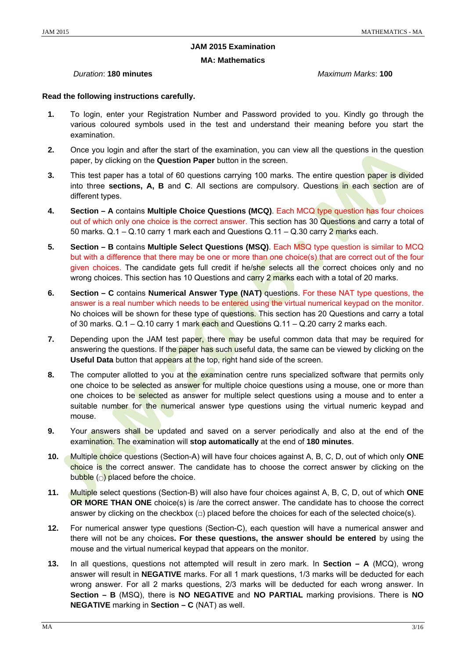## **JAM 2015 Examination**

#### **MA: Mathematics**

## *Duration*: **180 minutes** *Maximum Marks*: **100**

## **Read the following instructions carefully.**

- **1.** To login, enter your Registration Number and Password provided to you. Kindly go through the various coloured symbols used in the test and understand their meaning before you start the examination.
- **2.** Once you login and after the start of the examination, you can view all the questions in the question paper, by clicking on the **Question Paper** button in the screen.
- **3.** This test paper has a total of 60 questions carrying 100 marks. The entire question paper is divided into three **sections, A, B** and **C**. All sections are compulsory. Questions in each section are of different types.
- **4. Section A** contains **Multiple Choice Questions (MCQ)**. Each MCQ type question has four choices out of which only one choice is the correct answer. This section has 30 Questions and carry a total of 50 marks.  $Q.1 - Q.10$  carry 1 mark each and Questions  $Q.11 - Q.30$  carry 2 marks each.
- **5. Section B** contains **Multiple Select Questions (MSQ)**. Each MSQ type question is similar to MCQ but with a difference that there may be one or more than one choice(s) that are correct out of the four given choices. The candidate gets full credit if he/she selects all the correct choices only and no wrong choices. This section has 10 Questions and carry  $2$  marks each with a total of 20 marks.
- **6. Section C** contains **Numerical Answer Type (NAT)** questions. For these NAT type questions, the answer is a real number which needs to be entered using the virtual numerical keypad on the monitor. No choices will be shown for these type of questions. This section has 20 Questions and carry a total of 30 marks.  $Q.1 - Q.10$  carry 1 mark each and Questions  $Q.11 - Q.20$  carry 2 marks each.
- **7.** Depending upon the JAM test paper, there may be useful common data that may be required for answering the questions. If the paper has such useful data, the same can be viewed by clicking on the **Useful Data** button that appears at the top, right hand side of the screen.
- **8.** The computer allotted to you at the examination centre runs specialized software that permits only one choice to be selected as answer for multiple choice questions using a mouse, one or more than one choices to be selected as answer for multiple select questions using a mouse and to enter a suitable number for the numerical answer type questions using the virtual numeric keypad and mouse.
- **9.** Your answers shall be updated and saved on a server periodically and also at the end of the examination. The examination will **stop automatically** at the end of **180 minutes**.
- **10.** Multiple choice questions (Section-A) will have four choices against A, B, C, D, out of which only **ONE**  choice is the correct answer. The candidate has to choose the correct answer by clicking on the bubble ( $\circ$ ) placed before the choice.
- **11.** Multiple select questions (Section-B) will also have four choices against A, B, C, D, out of which **ONE OR MORE THAN ONE** choice(s) is /are the correct answer. The candidate has to choose the correct answer by clicking on the checkbox  $\Box$ ) placed before the choices for each of the selected choice(s).
- **12.** For numerical answer type questions (Section-C), each question will have a numerical answer and there will not be any choices**. For these questions, the answer should be entered** by using the mouse and the virtual numerical keypad that appears on the monitor.
- **13.** In all questions, questions not attempted will result in zero mark. In **Section A** (MCQ), wrong answer will result in **NEGATIVE** marks. For all 1 mark questions, 1/3 marks will be deducted for each wrong answer. For all 2 marks questions, 2/3 marks will be deducted for each wrong answer. In **Section – B** (MSQ), there is **NO NEGATIVE** and **NO PARTIAL** marking provisions. There is **NO NEGATIVE** marking in **Section – C** (NAT) as well.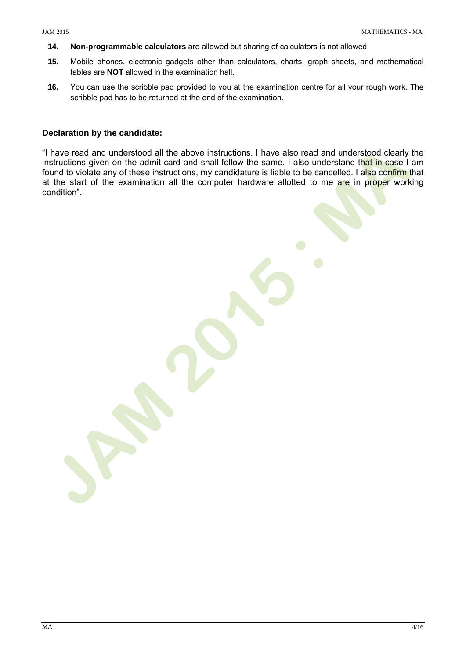- **14. Non-programmable calculators** are allowed but sharing of calculators is not allowed.
- **15.** Mobile phones, electronic gadgets other than calculators, charts, graph sheets, and mathematical tables are **NOT** allowed in the examination hall.
- **16.** You can use the scribble pad provided to you at the examination centre for all your rough work. The scribble pad has to be returned at the end of the examination.

## **Declaration by the candidate:**

"I have read and understood all the above instructions. I have also read and understood clearly the instructions given on the admit card and shall follow the same. I also understand that in case I am found to violate any of these instructions, my candidature is liable to be cancelled. I also confirm that at the start of the examination all the computer hardware allotted to me are in proper working condition".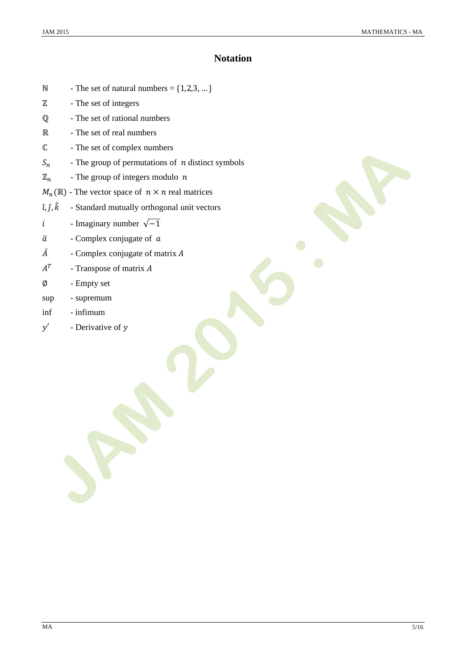## **Notation**

- $N$  The set of natural numbers =  $\{1,2,3,...\}$
- $\mathbb Z$  The set of integers
- ℚ The set of rational numbers
- R The set of real numbers
- ԧ The set of complex numbers
- $S_n$  The group of permutations of *n* distinct symbols
- $\mathbb{Z}_n$  The group of integers modulo n
- $M_n(\mathbb{R})$  The vector space of  $n \times n$  real matrices
- $\hat{i}, \hat{j}, \hat{k}$  Standard mutually orthogonal unit vectors
- *i* Imaginary number  $\sqrt{-1}$
- $\overline{a}$  Complex conjugate of  $\overline{a}$
- $\overline{A}$  Complex conjugate of matrix A
- $A^T$  Transpose of matrix A
- ∅ Empty set
- sup supremum
- inf infimum
- $y'$  Derivative of y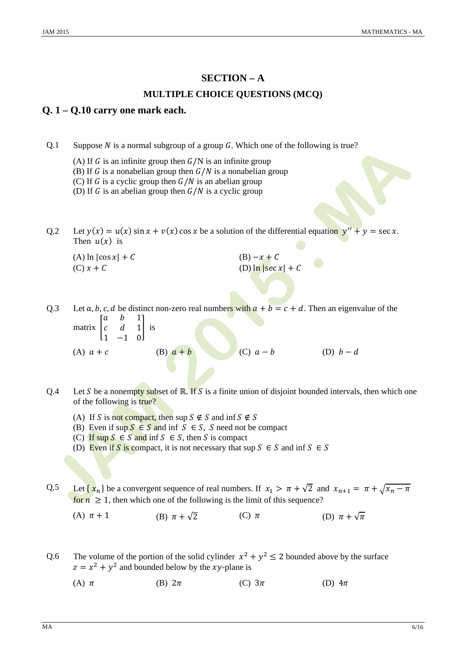# **SECTION – A MULTIPLE CHOICE QUESTIONS (MCQ)**

## **Q. 1 – Q.10 carry one mark each.**

Q.1 Suppose N is a normal subgroup of a group G. Which one of the following is true?

- (A) If  $G$  is an infinite group then  $G/N$  is an infinite group
- (B) If G is a nonabelian group then  $G/N$  is a nonabelian group
- (C) If G is a cyclic group then  $G/N$  is an abelian group

(D) If G is an abelian group then  $G/N$  is a cyclic group

Q.2 Let  $y(x) = u(x) \sin x + v(x) \cos x$  be a solution of the differential equation  $y'' + y = \sec x$ . Then  $u(x)$  is

| (A) $\ln  \cos x  + C$ | $(B) - x + C$          |
|------------------------|------------------------|
| $(C)$ $x + C$          | (D) $\ln  \sec x  + C$ |

Q.3 Let  $a, b, c, d$  be distinct non-zero real numbers with  $a + b = c + d$ . Then an eigenvalue of the matrix | a *b* 1  $c$  d 1  $\frac{1}{1}$  is

(A) 
$$
a + c
$$
 (B)  $a + b$  (C)  $a - b$  (D)  $b - d$ 

- Q.4 Let S be a nonempty subset of  $\mathbb{R}$ . If S is a finite union of disjoint bounded intervals, then which one of the following is true?
	- (A) If S is not compact, then sup  $S \notin S$  and inf  $S \notin S$
	- (B) Even if sup  $S \in S$  and inf  $S \in S$ , S need not be compact
	- (C) If sup  $S \in S$  and inf  $S \in S$ , then S is compact
	- (D) Even if S is compact, it is not necessary that sup  $S \in S$  and inf  $S \in S$

Q.5 Let  $\{x_n\}$  be a convergent sequence of real numbers. If  $x_1 > \pi + \sqrt{2}$  and  $x_{n+1} = \pi + \sqrt{x_n - \pi}$ for  $n \geq 1$ , then which one of the following is the limit of this sequence?

(A)  $\pi + 1$  (B)  $\pi + \sqrt{2}$  (C)  $\pi$  (D)  $\pi + \sqrt{\pi}$ 

- Q.6 The volume of the portion of the solid cylinder  $x^2 + y^2 \le 2$  bounded above by the surface  $z = x^2 + y^2$  and bounded below by the *xy*-plane is
	- (A)  $\pi$  (B)  $2\pi$  (C)  $3\pi$  (D)  $4\pi$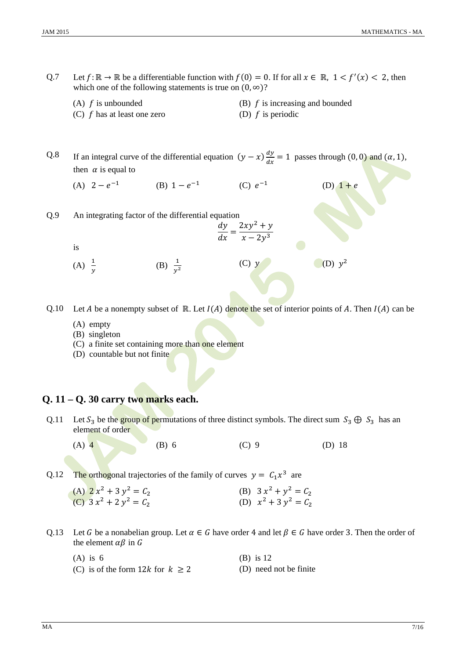- Q.7 Let  $f: \mathbb{R} \to \mathbb{R}$  be a differentiable function with  $f(0) = 0$ . If for all  $x \in \mathbb{R}$ ,  $1 < f'(x) < 2$ , then which one of the following statements is true on  $(0, \infty)$ ?
	-
	- (C)  $f$  has at least one zero (D)  $f$  is periodic
	- (A)  $f$  is unbounded (B)  $f$  is increasing and bounded
		-

Q.8 If an integral curve of the differential equation  $(y - x) \frac{dy}{dx} = 1$  passes through  $(0, 0)$  and  $(\alpha, 1)$ , then  $\alpha$  is equal to

- (A)  $2 e^{-1}$  (B)  $1 e^{-1}$  (C)  $e^{-1}$  (D)  $1 + e$
- Q.9 An integrating factor of the differential equation  $dy = 2xy^2 + y$ 
	- is
	- $(A) \frac{1}{y}$ (B)  $\frac{1}{v^2}$ (C)  $y$  (D)  $y^2$
- Q.10 Let *A* be a nonempty subset of  $\mathbb R$ . Let  $I(A)$  denote the set of interior points of *A*. Then  $I(A)$  can be

 $\frac{dy}{dx} = \frac{1}{x - 2y^3}$ 

- (A) empty
- (B) singleton
- (C) a finite set containing more than one element
- (D) countable but not finite

## **Q. 11 – Q. 30 carry two marks each.**

- Q.11 Let  $S_3$  be the group of permutations of three distinct symbols. The direct sum  $S_3 \oplus S_3$  has an element of order
	-

(A)  $\overline{4}$  (B) 6 (C) 9 (D) 18

Q.12 The orthogonal trajectories of the family of curves  $y = C_1 x^3$  are

| (A) $2x^2 + 3y^2 = C_2$ | (B) $3x^2 + y^2 = C_2$ |
|-------------------------|------------------------|
| (C) $3x^2 + 2y^2 = C_2$ | (D) $x^2 + 3y^2 = C_2$ |

- Q.13 Let G be a nonabelian group. Let  $\alpha \in G$  have order 4 and let  $\beta \in G$  have order 3. Then the order of the element  $\alpha\beta$  in G
	- (A) is  $6$  (B) is 12

- (C) is of the form  $12k$  for  $k \ge 2$  (D) need not be finite
-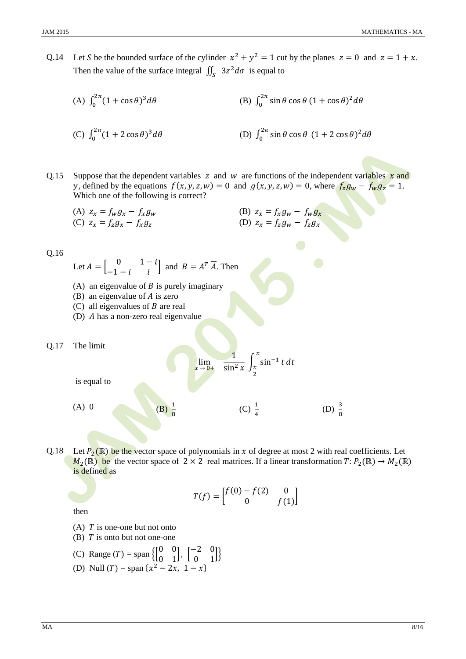Q.14 Let S be the bounded surface of the cylinder  $x^2 + y^2 = 1$  cut by the planes  $z = 0$  and  $z = 1 + x$ . Then the value of the surface integral  $\iint_S 3z^2 d\sigma$  is equal to

(A) 
$$
\int_0^{2\pi} (1 + \cos \theta)^3 d\theta
$$
  
\n(B)  $\int_0^{2\pi} \sin \theta \cos \theta (1 + \cos \theta)^2 d\theta$   
\n(C)  $\int_0^{2\pi} (1 + 2 \cos \theta)^3 d\theta$   
\n(D)  $\int_0^{2\pi} \sin \theta \cos \theta (1 + 2 \cos \theta)^2 d\theta$ 

Q.15 Suppose that the dependent variables z and w are functions of the independent variables  $\boldsymbol{x}$  and y, defined by the equations  $f(x, y, z, w) = 0$  and  $g(x, y, z, w) = 0$ , where  $f_z g_w - f_w g_z = 1$ . Which one of the following is correct?

(A) 
$$
z_x = f_w g_x - f_x g_w
$$
  
\n(B)  $z_x = f_x g_w - f_w g_x$   
\n(C)  $z_x = f_z g_x - f_x g_z$   
\n(D)  $z_x = f_z g_w - f_z g_x$ 

Q.16

- Let  $A = \begin{bmatrix} 0 & 1-i \\ -1-i & i \end{bmatrix}$  and  $B = A^T \overline{A}$ . Then
- (A) an eigenvalue of  $B$  is purely imaginary
- (B) an eigenvalue of  $\vec{A}$  is zero
- (C) all eigenvalues of  $B$  are real
- (D)  $\Lambda$  has a non-zero real eigenvalue

Q.17 The limit

 $\lim_{x \to 0+}$ 

(A) 0 (B)  $\frac{1}{8}$ 

is equal to

Q.18 Let  $P_2(\mathbb{R})$  be the vector space of polynomials in x of degree at most 2 with real coefficients. Let  $M_2(\mathbb{R})$  be the vector space of  $2 \times 2$  real matrices. If a linear transformation  $T: P_2(\mathbb{R}) \to M_2(\mathbb{R})$ is defined as

$$
T(f) = \begin{bmatrix} f(0) - f(2) & 0 \\ 0 & f(1) \end{bmatrix}
$$

 $\frac{1}{\sin^2 x} \int_{\frac{x}{}}^{x} \sin^{-1} t \, dt$  $\chi$  $\chi$ ଶ

 $(C)$   $\frac{1}{4}$ 

 $\frac{1}{4}$  (D)  $\frac{3}{8}$ 

then

- (A)  $T$  is one-one but not onto
- (B)  $T$  is onto but not one-one
- (C) Range  $(T) = \text{span} \left\{ \begin{bmatrix} 0 & 0 \\ 0 & 1 \end{bmatrix}, \begin{bmatrix} -2 & 0 \\ 0 & 1 \end{bmatrix} \right\}$
- (D) Null (*T*) = span  $\{x^2 2x, 1 x\}$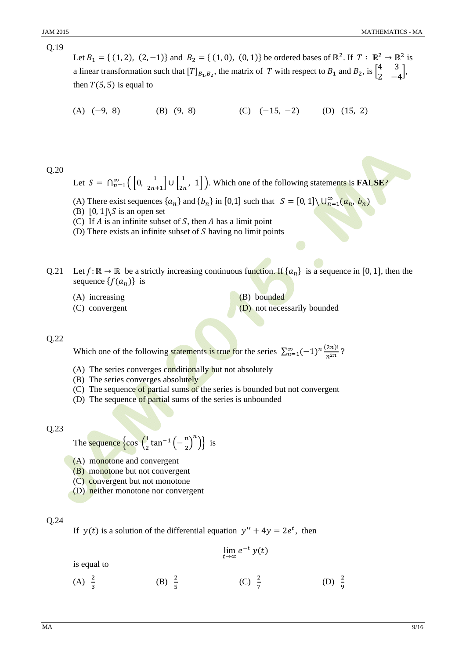Let  $B_1 = \{(1, 2), (2, -1)\}\$  and  $B_2 = \{(1, 0), (0, 1)\}\$  be ordered bases of  $\mathbb{R}^2$ . If  $T: \mathbb{R}^2 \to \mathbb{R}^2$  is a linear transformation such that  $[T]_{B_1,B_2}$ , the matrix of  $T$  with respect to  $B_1$  and  $B_2$ , is  $\begin{bmatrix} 4 & 3 \\ 2 & -4 \end{bmatrix}$ , then  $T(5, 5)$  is equal to

(A)  $(-9, 8)$  (B)  $(9, 8)$  (C)  $(-15, -2)$  (D)  $(15, 2)$ 

Q.20

Let  $S = \bigcap_{n=1}^{\infty} \left( \left[ 0, \frac{1}{2n+1} \right] \cup \left[ \frac{1}{2n}, 1 \right] \right)$ . Which one of the following statements is **FALSE**?

(A) There exist sequences  $\{a_n\}$  and  $\{b_n\}$  in [0,1] such that  $S = [0, 1] \setminus \bigcup_{n=1}^{\infty} (a_n, b_n)$ 

- (B)  $\lceil 0, 1 \rceil \$  is an open set
- (C) If  $A$  is an infinite subset of  $S$ , then  $A$  has a limit point
- (D) There exists an infinite subset of  $S$  having no limit points
- Q.21 Let  $f: \mathbb{R} \to \mathbb{R}$  be a strictly increasing continuous function. If  $\{a_n\}$  is a sequence in [0, 1], then the sequence  $\{f(a_n)\}\$ is
	- (A) increasing (B) bounded
	-

(C) convergent (D) not necessarily bounded

### Q.22

Which one of the following statements is true for the series  $\sum_{n=1}^{\infty} (-1)^n \frac{(2n)!}{n^{2n}}$  $\sum_{n=1}^{\infty} (-1)^n \frac{(2n)!}{n^{2n}}$ ?

- (A) The series converges conditionally but not absolutely
- (B) The series converges absolutely
- (C) The sequence of partial sums of the series is bounded but not convergent
- (D) The sequence of partial sums of the series is unbounded

Q.23

The sequence  $\cos\left(\frac{1}{2}\right)$  $\frac{1}{2}$ tan<sup>-1</sup> $\left(-\frac{n}{2}\right)^n$ } is

- (A) monotone and convergent
- (B) monotone but not convergent
- (C) convergent but not monotone
- (D) neither monotone nor convergent

### Q.24

 $(A) \frac{2}{3}$ 

If  $y(t)$  is a solution of the differential equation  $y'' + 4y = 2e^t$ , then

\n is equal to\n 
$$
\lim_{t \to \infty} e^{-t} y(t)
$$
\n

\n\n (A)  $\frac{2}{3}$     \n (B)  $\frac{2}{5}$     \n (C)  $\frac{2}{7}$     \n (D)  $\frac{2}{9}$ \n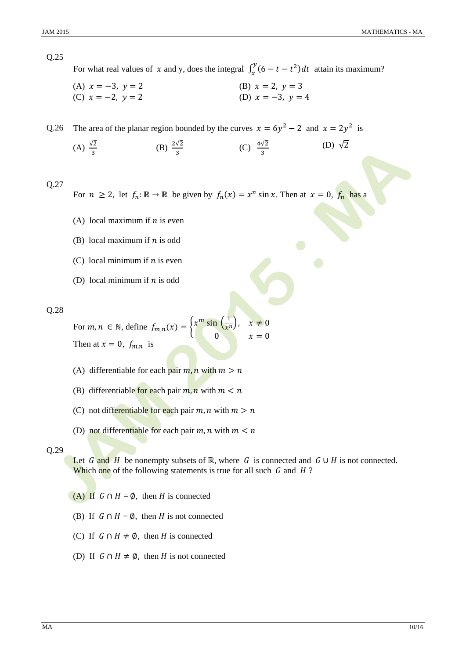

For what real values of x and y, does the integral  $\int_x^y (6 - t - t^2) dt$  attain its maximum?

(A)  $x = -3$ ,  $y = 2$ (A)  $x = -3$ ,  $y = 2$ <br>
(C)  $x = -2$ ,  $y = 2$ <br>
(D)  $x = -3$ ,  $y = 4$ 

Q.26 The area of the planar region bounded by the curves  $x = 6y^2 - 2$  and  $x = 2y^2$  is

(A)  $\frac{\sqrt{2}}{2}$ (B)  $\frac{2\sqrt{2}}{2}$  $\frac{\sqrt{2}}{3}$  (C)  $\frac{4\sqrt{2}}{3}$ (D)  $\sqrt{2}$ 

Q.27

For  $n \ge 2$ , let  $f_n: \mathbb{R} \to \mathbb{R}$  be given by  $f_n(x) = x^n \sin x$ . Then at  $x = 0$ ,  $f_n$  has a

- (A) local maximum if  $n$  is even
- (B) local maximum if  $n$  is odd
- (C) local minimum if  $n$  is even
- (D) local minimum if  $n$  is odd

Q.28

For  $m, n \in \mathbb{N}$ , define  $f_{m,n}(x) = \begin{cases} x^m \sin\left(\frac{1}{x^n}\right), & x \neq 0 \end{cases}$ 0  $x = 0$ Then at  $x = 0$ ,  $f_{m,n}$  is

- (A) differentiable for each pair  $m, n$  with  $m > n$
- (B) differentiable for each pair  $m, n$  with  $m \leq n$
- (C) not differentiable for each pair  $m, n$  with  $m > n$
- (D) not differentiable for each pair  $m, n$  with  $m < n$

#### Q.29

Let G and H be nonempty subsets of R, where G is connected and  $G \cup H$  is not connected. Which one of the following statements is true for all such  $G$  and  $H$ ?

- (A) If  $G \cap H = \emptyset$ , then H is connected
- (B) If  $G \cap H = \emptyset$ , then H is not connected
- (C) If  $G \cap H \neq \emptyset$ , then H is connected
- (D) If  $G \cap H \neq \emptyset$ , then H is not connected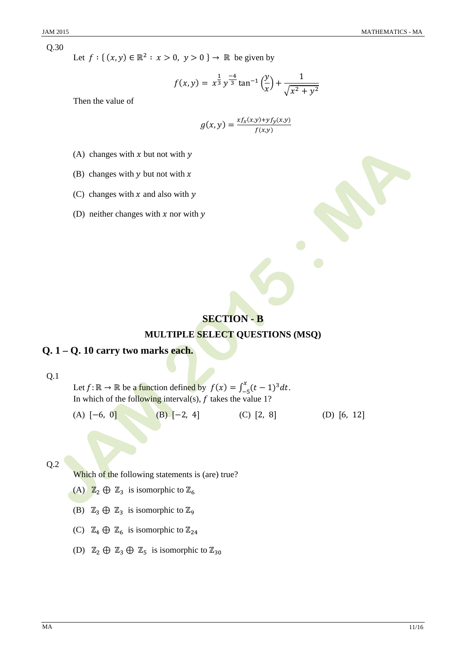Q.30

Let  $f: \{ (x, y) \in \mathbb{R}^2 : x > 0, y > 0 \} \rightarrow \mathbb{R}$  be given by

$$
f(x,y) = x^{\frac{1}{3}}y^{\frac{-4}{3}}\tan^{-1}\left(\frac{y}{x}\right) + \frac{1}{\sqrt{x^2 + y^2}}
$$

Then the value of

$$
g(x,y) = \frac{x f_x(x,y) + y f_y(x,y)}{f(x,y)}
$$

- (A) changes with x but not with  $\gamma$
- (B) changes with  $y$  but not with  $x$
- (C) changes with  $x$  and also with  $y$
- (D) neither changes with  $x$  nor with  $y$

## **SECTION - B**

## **MULTIPLE SELECT QUESTIONS (MSQ)**

## **Q. 1 – Q. 10 carry two marks each.**

Q.1

Let  $f: \mathbb{R} \to \mathbb{R}$  be a function defined by  $f(x) = \int_{-5}^{x} (t-1)^3 dt$ . In which of the following interval(s),  $f$  takes the value 1?

(A)  $[-6, 0]$  (B)  $[-2, 4]$  (C)  $[2, 8]$  (D)  $[6, 12]$ 

Q.2

Which of the following statements is (are) true?

- (A)  $\mathbb{Z}_2 \oplus \mathbb{Z}_3$  is isomorphic to  $\mathbb{Z}_6$
- (B)  $\mathbb{Z}_3 \oplus \mathbb{Z}_3$  is isomorphic to  $\mathbb{Z}_9$
- (C)  $\mathbb{Z}_4 \oplus \mathbb{Z}_6$  is isomorphic to  $\mathbb{Z}_{24}$
- (D)  $\mathbb{Z}_2 \oplus \mathbb{Z}_3 \oplus \mathbb{Z}_5$  is isomorphic to  $\mathbb{Z}_{30}$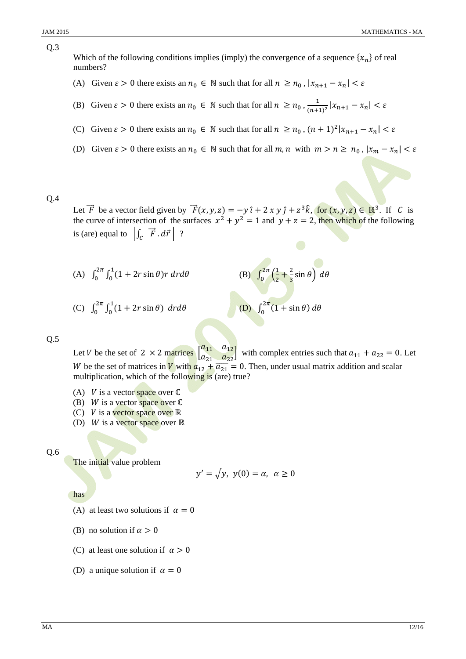Q.3

## Which of the following conditions implies (imply) the convergence of a sequence  $\{x_n\}$  of real numbers?

- (A) Given  $\varepsilon > 0$  there exists an  $n_0 \in \mathbb{N}$  such that for all  $n \ge n_0$ ,  $|x_{n+1} x_n| < \varepsilon$
- (B) Given  $\varepsilon > 0$  there exists an  $n_0 \in \mathbb{N}$  such that for all  $n \ge n_0$ ,  $\frac{1}{(n+1)^2} |x_{n+1} x_n| < \varepsilon$
- (C) Given  $\varepsilon > 0$  there exists an  $n_0 \in \mathbb{N}$  such that for all  $n \ge n_0$ ,  $(n+1)^2 |x_{n+1} x_n| < \varepsilon$
- (D) Given  $\varepsilon > 0$  there exists an  $n_0 \in \mathbb{N}$  such that for all  $m, n$  with  $m > n \ge n_0$ ,  $|x_m x_n| < \varepsilon$

Q.4

Let  $\vec{F}$  be a vector field given by  $\vec{F}(x, y, z) = -y \hat{i} + 2 x y \hat{j} + z^3 \hat{k}$ , for  $(x, y, z) \in \mathbb{R}^3$ . If C is the curve of intersection of the surfaces  $x^2 + y^2 = 1$  and  $y + z = 2$ , then which of the following is (are) equal to  $\left| \int_C \vec{F} \cdot d\vec{r} \right|$  ?

(A) 
$$
\int_0^{2\pi} \int_0^1 (1 + 2r \sin \theta) r dr d\theta
$$
 (B)  $\int_0^{2\pi} \left(\frac{1}{2} + \frac{2}{3} \sin \theta\right) d\theta$ 

(C) 
$$
\int_0^{2\pi} \int_0^1 (1 + 2r \sin \theta) dr d\theta
$$
 (D)  $\int_0^{2\pi} (1 + \sin \theta) d\theta$ 

$$
(D) \int^{2\pi} (1 + \sin \theta) d\theta
$$

 $\bf{0}$ 

Q.5

Let V be the set of 2  $\times$  2 matrices  $\begin{bmatrix} 2 & 1 & 0 & 0 \\ a_{21} & a_{22} & a_{22} \end{bmatrix}$  $\begin{bmatrix} a_{11} & a_{12} \end{bmatrix}$ with complex entries such that  $a_{11} + a_{22} = 0$ . Let W be the set of matrices in **V** with  $a_{12} + \overline{a_{21}} = 0$ . Then, under usual matrix addition and scalar multiplication, which of the following is (are) true?

- (A)  $V$  is a vector space over  $\mathbb C$
- (B) *W* is a vector space over  $\mathbb C$
- (C)  $V$  is a vector space over  $\mathbb R$
- (D) *W* is a vector space over  $\mathbb R$

Q.6

The initial value problem

$$
y' = \sqrt{y}, \ y(0) = \alpha, \ \alpha \ge 0
$$

has

- (A) at least two solutions if  $\alpha = 0$
- (B) no solution if  $\alpha > 0$
- (C) at least one solution if  $\alpha > 0$
- (D) a unique solution if  $\alpha = 0$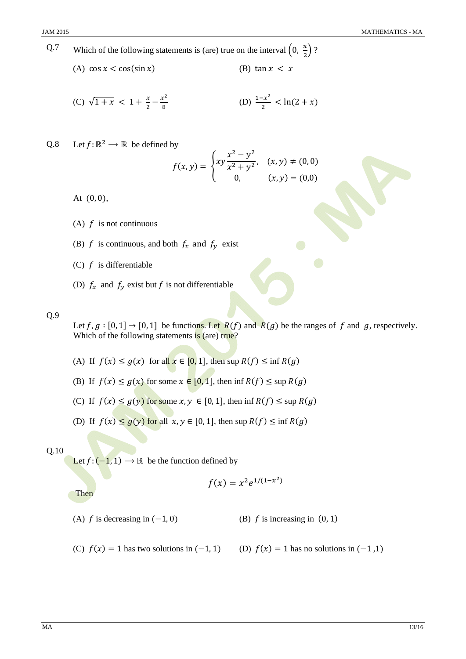- Q.7 Which of the following statements is (are) true on the interval  $\left(0, \frac{\pi}{2}\right)$ ?
	- (A)  $\cos x < \cos(\sin x)$  (B)  $\tan x < x$

(C) 
$$
\sqrt{1+x}
$$
 < 1 +  $\frac{x}{2} - \frac{x^2}{8}$  (D)  $\frac{1-x^2}{2} < \ln(2+x)$ 

Q.8 Let  $f: \mathbb{R}^2 \to \mathbb{R}$  be defined by

$$
f(x,y) = \begin{cases} xy \frac{x^2 - y^2}{x^2 + y^2}, & (x,y) \neq (0,0) \\ 0, & (x,y) = (0,0) \end{cases}
$$

At  $(0, 0)$ ,

- (A)  $f$  is not continuous
- (B) f is continuous, and both  $f_x$  and  $f_y$  exist
- (C)  $f$  is differentiable
- (D)  $f_x$  and  $f_y$  exist but f is not differentiable

Q.9

Let  $f, g : [0, 1] \rightarrow [0, 1]$  be functions. Let  $R(f)$  and  $R(g)$  be the ranges of f and g, respectively. Which of the following statements is (are) true?

- (A) If  $f(x) \leq g(x)$  for all  $x \in [0, 1]$ , then sup  $R(f) \leq \inf R(g)$
- (B) If  $f(x) \le g(x)$  for some  $x \in [0, 1]$ , then inf  $R(f) \le \sup R(g)$
- (C) If  $f(x) \leq g(y)$  for some  $x, y \in [0, 1]$ , then inf  $R(f) \leq \sup R(g)$
- (D) If  $f(x) \le g(y)$  for all  $x, y \in [0, 1]$ , then sup  $R(f) \le \inf R(g)$

### Q.10

Let  $f: (-1, 1) \rightarrow \mathbb{R}$  be the function defined by

$$
f(x) = x^2 e^{1/(1-x^2)}
$$

Then

- (A)  $f$  is decreasing in  $(-1, 0)$  (B)  $f$  is increasing in  $(0, 1)$
- (C)  $f(x) = 1$  has two solutions in  $(-1, 1)$  (D)  $f(x) = 1$  has no solutions in  $(-1, 1)$
-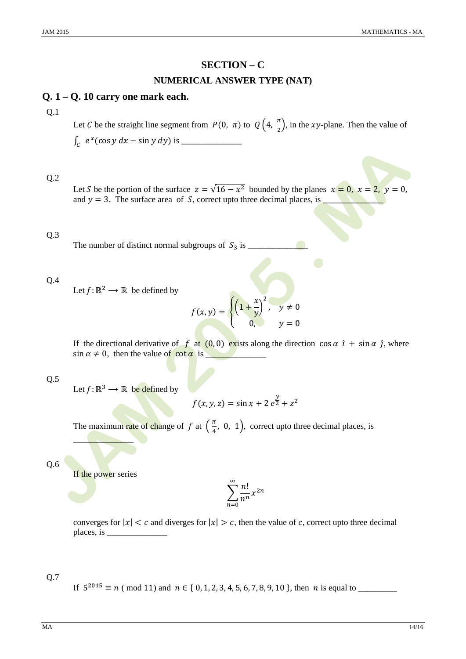## **SECTION - C**

## **NUMERICAL ANSWER TYPE (NAT)**

## $Q. 1 - Q. 10$  carry one mark each.

### $Q.1$

Let C be the straight line segment from  $P(0, \pi)$  to  $Q\left(4, \frac{\pi}{2}\right)$ , in the xy-plane. Then the value of 

## $Q.2$

Let S be the portion of the surface  $z = \sqrt{16 - x^2}$  bounded by the planes  $x = 0$ ,  $x = 2$ ,  $y = 0$ , and  $y = 3$ . The surface area of S, correct upto three decimal places, is

## $Q.3$

## $Q.4$

Let  $f: \mathbb{R}^2 \to \mathbb{R}$  be defined by

$$
f(x,y) = \begin{cases} \left(1 + \frac{x}{y}\right)^2, & y \neq 0\\ 0, & y = 0 \end{cases}
$$

If the directional derivative of f at (0,0) exists along the direction  $\cos \alpha \hat{i} + \sin \alpha \hat{j}$ , where  $\sin \alpha \neq 0$ , then the value of  $\cot \alpha$  is

 $Q.5$ 

Let  $f: \mathbb{R}^3 \longrightarrow \mathbb{R}$  be defined by

$$
f(x, y, z) = \sin x + 2 e^{\frac{y}{2}} + z^2
$$

The maximum rate of change of f at  $(\frac{\pi}{4}, 0, 1)$ , correct upto three decimal places, is

 $Q.6$ 

If the power series

$$
\sum_{n=0}^{\infty} \frac{n!}{n^n} x^{2n}
$$

converges for  $|x| < c$  and diverges for  $|x| > c$ , then the value of c, correct upto three decimal 

#### $Q.7$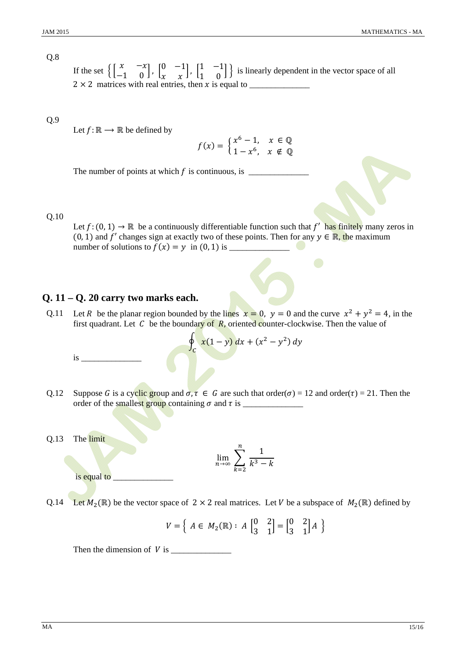#### $O.8$

If the set  $\begin{bmatrix} x & -x \\ -1 & 0 \end{bmatrix}$ ,  $\begin{bmatrix} 0 & -1 \\ x & x \end{bmatrix}$ ,  $\begin{bmatrix} 1 & -1 \\ 1 & 0 \end{bmatrix}$  is linearly dependent in the vector space of all  $2 \times 2$  matrices with real entries, then x is equal to  $\overline{\phantom{a}}$ 

## $Q.9$

Let  $f: \mathbb{R} \longrightarrow \mathbb{R}$  be defined by

$$
f(x) = \begin{cases} x^6 - 1, & x \in \mathbb{Q} \\ 1 - x^6, & x \notin \mathbb{Q} \end{cases}
$$

The number of points at which  $f$  is continuous, is  $\frac{1}{f}$ 

#### $Q.10$

Let  $f: (0, 1) \to \mathbb{R}$  be a continuously differentiable function such that f' has finitely many zeros in  $(0, 1)$  and f' changes sign at exactly two of these points. Then for any  $y \in \mathbb{R}$ , the maximum number of solutions to  $f(x) = y$  in (0, 1) is \_\_\_\_\_

## $Q. 11 - Q. 20$  carry two marks each.

Let R be the planar region bounded by the lines  $x = 0$ ,  $y = 0$  and the curve  $x^2 + y^2 = 4$ , in the  $Q.11$ first quadrant. Let  $C$  be the boundary of  $R$ , oriented counter-clockwise. Then the value of

$$
\oint_C \frac{x(1-y) \, dx + (x^2 - y^2) \, dy}{}
$$

- O.12 Suppose G is a cyclic group and  $\sigma, \tau \in G$  are such that order( $\sigma$ ) = 12 and order( $\tau$ ) = 21. Then the
- The limit Q.13

$$
\lim_{n \to \infty} \sum_{k=2}^{n} \frac{1}{k^3 - k}
$$

is equal to

 $is$ <sub>\_\_</sub>

Q.14 Let  $M_2(\mathbb{R})$  be the vector space of  $2 \times 2$  real matrices. Let V be a subspace of  $M_2(\mathbb{R})$  defined by

$$
V = \left\{ A \in M_2(\mathbb{R}) : A \begin{bmatrix} 0 & 2 \\ 3 & 1 \end{bmatrix} = \begin{bmatrix} 0 & 2 \\ 3 & 1 \end{bmatrix} A \right\}
$$

Then the dimension of  $V$  is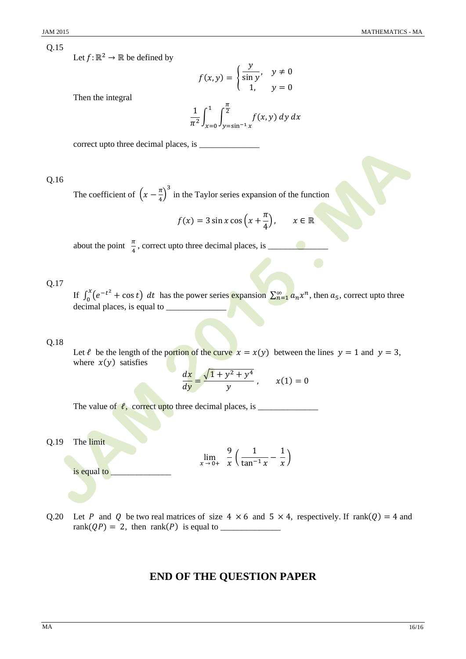Let  $f: \mathbb{R}^2 \to \mathbb{R}$  be defined by

$$
f(x,y) = \begin{cases} \frac{y}{\sin y}, & y \neq 0 \\ 1, & y = 0 \end{cases}
$$

Then the integral

$$
\frac{1}{\pi^2} \int_{x=0}^1 \int_{y=\sin^{-1}x}^{\frac{\pi}{2}} f(x, y) \, dy \, dx
$$

### $Q.16$

The coefficient of  $\left(x - \frac{\pi}{4}\right)^3$  in the Taylor series expansion of the function

$$
f(x) = 3\sin x \cos\left(x + \frac{\pi}{4}\right), \qquad x \in \mathbb{R}
$$

about the point  $\frac{\pi}{4}$ , correct upto three decimal places, is \_\_\_\_\_\_\_\_

## $Q.17$

If  $\int_0^x (e^{-t^2} + \cos t) dt$  has the power series expansion  $\sum_{n=1}^\infty a_n x^n$ , then  $a_5$ , correct upto three decimal places, is equal to \_

## 0.18

Let  $\ell$  be the length of the portion of the curve  $x = x(y)$  between the lines  $y = 1$  and  $y = 3$ , where  $x(y)$  satisfies

$$
\frac{dx}{dy} = \frac{\sqrt{1 + y^2 + y^4}}{y}, \qquad x(1) = 0
$$

The limit  $Q.19$ 

$$
\lim_{x \to 0+} \frac{9}{x} \left( \frac{1}{\tan^{-1} x} - \frac{1}{x} \right)
$$

is equal to

Q.20 Let P and Q be two real matrices of size  $4 \times 6$  and  $5 \times 4$ , respectively. If rank(Q) = 4 and 

## **END OF THE QUESTION PAPER**